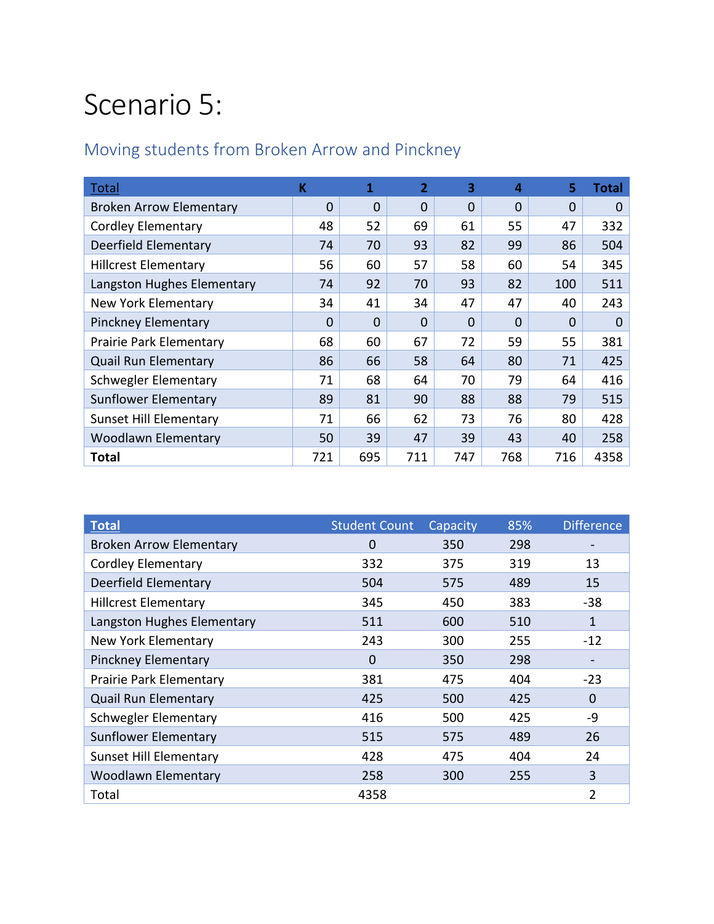#### Scenario 5:

#### Moving students from Broken Arrow and Pinckney

| Total                          | K        | 1   | $\overline{2}$ | 3        | 4        | 5        | <b>Total</b> |
|--------------------------------|----------|-----|----------------|----------|----------|----------|--------------|
| <b>Broken Arrow Elementary</b> | $\Omega$ | 0   | $\Omega$       | $\Omega$ | $\Omega$ | $\Omega$ | 0            |
| <b>Cordley Elementary</b>      | 48       | 52  | 69             | 61       | 55       | 47       | 332          |
| Deerfield Elementary           | 74       | 70  | 93             | 82       | 99       | 86       | 504          |
| <b>Hillcrest Elementary</b>    | 56       | 60  | 57             | 58       | 60       | 54       | 345          |
| Langston Hughes Elementary     | 74       | 92  | 70             | 93       | 82       | 100      | 511          |
| New York Elementary            | 34       | 41  | 34             | 47       | 47       | 40       | 243          |
| <b>Pinckney Elementary</b>     | 0        | 0   | 0              | 0        | $\Omega$ | $\Omega$ | 0            |
| Prairie Park Elementary        | 68       | 60  | 67             | 72       | 59       | 55       | 381          |
| <b>Quail Run Elementary</b>    | 86       | 66  | 58             | 64       | 80       | 71       | 425          |
| Schwegler Elementary           | 71       | 68  | 64             | 70       | 79       | 64       | 416          |
| <b>Sunflower Elementary</b>    | 89       | 81  | 90             | 88       | 88       | 79       | 515          |
| <b>Sunset Hill Elementary</b>  | 71       | 66  | 62             | 73       | 76       | 80       | 428          |
| <b>Woodlawn Elementary</b>     | 50       | 39  | 47             | 39       | 43       | 40       | 258          |
| Total                          | 721      | 695 | 711            | 747      | 768      | 716      | 4358         |

| <b>Total</b>                   | <b>Student Count</b> | Capacity | 85% | <b>Difference</b> |
|--------------------------------|----------------------|----------|-----|-------------------|
| <b>Broken Arrow Elementary</b> | 0                    | 350      | 298 |                   |
| Cordley Elementary             | 332                  | 375      | 319 | 13                |
| Deerfield Elementary           | 504                  | 575      | 489 | 15                |
| <b>Hillcrest Elementary</b>    | 345                  | 450      | 383 | $-38$             |
| Langston Hughes Elementary     | 511                  | 600      | 510 | 1                 |
| New York Elementary            | 243                  | 300      | 255 | $-12$             |
| <b>Pinckney Elementary</b>     | 0                    | 350      | 298 |                   |
| Prairie Park Elementary        | 381                  | 475      | 404 | $-23$             |
| <b>Quail Run Elementary</b>    | 425                  | 500      | 425 | 0                 |
| Schwegler Elementary           | 416                  | 500      | 425 | -9                |
| <b>Sunflower Elementary</b>    | 515                  | 575      | 489 | 26                |
| <b>Sunset Hill Elementary</b>  | 428                  | 475      | 404 | 24                |
| <b>Woodlawn Elementary</b>     | 258                  | 300      | 255 | 3                 |
| Total                          | 4358                 |          |     | $\overline{2}$    |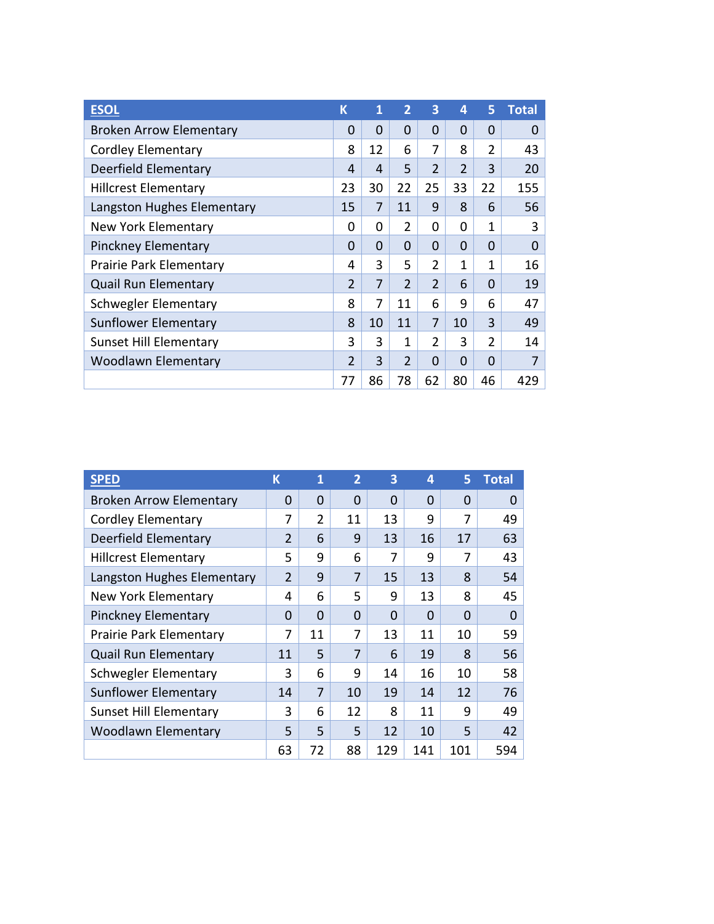| <b>ESOL</b>                    | K        | 1           | $\overline{2}$ | 3              | 4              | 5              | <b>Total</b> |
|--------------------------------|----------|-------------|----------------|----------------|----------------|----------------|--------------|
| <b>Broken Arrow Elementary</b> | 0        | 0           | $\Omega$       | $\Omega$       | 0              | $\Omega$       | 0            |
| <b>Cordley Elementary</b>      | 8        | 12          | 6              | 7              | 8              | 2              | 43           |
| <b>Deerfield Elementary</b>    | 4        | 4           | 5              | $\overline{2}$ | $\overline{2}$ | 3              | 20           |
| <b>Hillcrest Elementary</b>    | 23       | 30          | 22             | 25             | 33             | 22             | 155          |
| Langston Hughes Elementary     | 15       | 7           | 11             | 9              | 8              | 6              | 56           |
| New York Elementary            | 0        | 0           | $\overline{2}$ | 0              | 0              | 1              | 3            |
| <b>Pinckney Elementary</b>     | $\Omega$ | $\mathbf 0$ | 0              | $\Omega$       | 0              | 0              | 0            |
| Prairie Park Elementary        | 4        | 3           | 5              | 2              | 1              | 1              | 16           |
| <b>Quail Run Elementary</b>    | 2        | 7           | $\overline{2}$ | $\overline{2}$ | 6              | $\Omega$       | 19           |
| Schwegler Elementary           | 8        | 7           | 11             | 6              | 9              | 6              | 47           |
| Sunflower Elementary           | 8        | 10          | 11             | 7              | 10             | 3              | 49           |
| <b>Sunset Hill Elementary</b>  | 3        | 3           | 1              | $\mathcal{P}$  | 3              | $\overline{2}$ | 14           |
| <b>Woodlawn Elementary</b>     | 2        | 3           | $\overline{2}$ | 0              | 0              | 0              | 7            |
|                                | 77       | 86          | 78             | 62             | 80             | 46             | 429          |

| <b>SPED</b>                    | K              | 1              | $\overline{2}$ | 3        | 4        | 5        | <b>Total</b> |
|--------------------------------|----------------|----------------|----------------|----------|----------|----------|--------------|
| <b>Broken Arrow Elementary</b> | $\Omega$       | $\Omega$       | $\Omega$       | $\Omega$ | 0        | $\Omega$ | $\Omega$     |
| <b>Cordley Elementary</b>      | 7              | $\overline{2}$ | 11             | 13       | 9        | 7        | 49           |
| <b>Deerfield Elementary</b>    | $\overline{2}$ | 6              | 9              | 13       | 16       | 17       | 63           |
| <b>Hillcrest Elementary</b>    | 5              | 9              | 6              | 7        | 9        | 7        | 43           |
| Langston Hughes Elementary     | $\overline{2}$ | 9              | 7              | 15       | 13       | 8        | 54           |
| New York Elementary            | 4              | 6              | 5              | 9        | 13       | 8        | 45           |
| <b>Pinckney Elementary</b>     | 0              | $\Omega$       | 0              | 0        | $\Omega$ | $\Omega$ | $\Omega$     |
| <b>Prairie Park Elementary</b> | 7              | 11             | 7              | 13       | 11       | 10       | 59           |
| <b>Quail Run Elementary</b>    | 11             | 5              | 7              | 6        | 19       | 8        | 56           |
| Schwegler Elementary           | 3              | 6              | 9              | 14       | 16       | 10       | 58           |
| Sunflower Elementary           | 14             | 7              | 10             | 19       | 14       | 12       | 76           |
| <b>Sunset Hill Elementary</b>  | 3              | 6              | 12             | 8        | 11       | 9        | 49           |
| <b>Woodlawn Elementary</b>     | 5              | 5              | 5              | 12       | 10       | 5        | 42           |
|                                | 63             | 72             | 88             | 129      | 141      | 101      | 594          |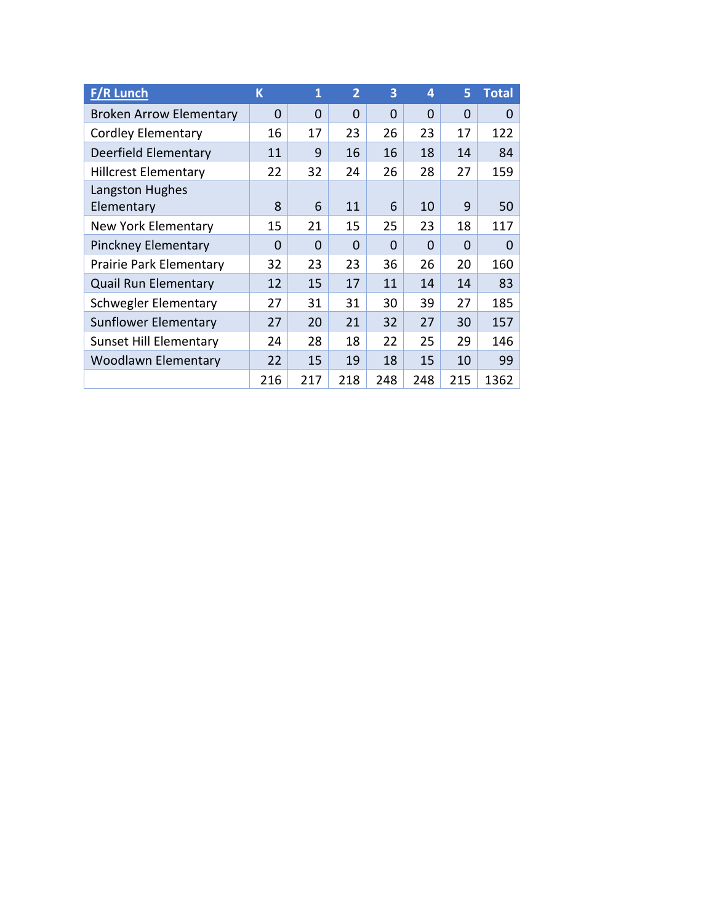| <b>F/R Lunch</b>               | K        | 1        | $\overline{2}$ | 3        | 4        | 5        | <b>Total</b> |
|--------------------------------|----------|----------|----------------|----------|----------|----------|--------------|
| <b>Broken Arrow Elementary</b> | 0        | 0        | $\Omega$       | $\Omega$ | $\Omega$ | $\Omega$ | $\Omega$     |
| <b>Cordley Elementary</b>      | 16       | 17       | 23             | 26       | 23       | 17       | 122          |
| Deerfield Elementary           | 11       | 9        | 16             | 16       | 18       | 14       | 84           |
| <b>Hillcrest Elementary</b>    | 22       | 32       | 24             | 26       | 28       | 27       | 159          |
| Langston Hughes<br>Elementary  | 8        | 6        | 11             | 6        | 10       | 9        | 50           |
| New York Elementary            | 15       | 21       | 15             | 25       | 23       | 18       | 117          |
| <b>Pinckney Elementary</b>     | $\Omega$ | $\Omega$ | $\Omega$       | 0        | $\Omega$ | $\Omega$ | $\Omega$     |
| Prairie Park Elementary        | 32       | 23       | 23             | 36       | 26       | 20       | 160          |
| <b>Quail Run Elementary</b>    | 12       | 15       | 17             | 11       | 14       | 14       | 83           |
| <b>Schwegler Elementary</b>    | 27       | 31       | 31             | 30       | 39       | 27       | 185          |
| Sunflower Elementary           | 27       | 20       | 21             | 32       | 27       | 30       | 157          |
| <b>Sunset Hill Elementary</b>  | 24       | 28       | 18             | 22       | 25       | 29       | 146          |
| <b>Woodlawn Elementary</b>     | 22       | 15       | 19             | 18       | 15       | 10       | 99           |
|                                | 216      | 217      | 218            | 248      | 248      | 215      | 1362         |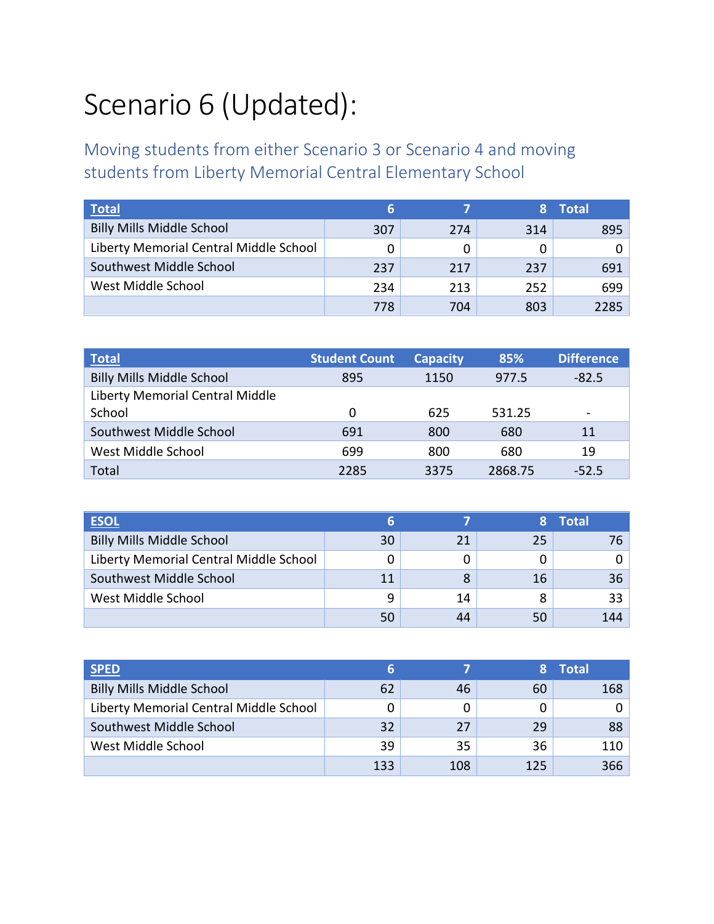# Scenario 6 (Updated):

Moving students from either Scenario 3 or Scenario 4 and moving students from Liberty Memorial Central Elementary School

| Total                                  | ь   |     |     | <b>Total</b> |
|----------------------------------------|-----|-----|-----|--------------|
| <b>Billy Mills Middle School</b>       | 307 | 274 | 314 | 895          |
| Liberty Memorial Central Middle School | 0   |     |     |              |
| Southwest Middle School                | 237 | 217 | 237 | 691          |
| West Middle School                     | 234 | 213 | 252 | 699          |
|                                        | 778 | 704 | 803 | 2285         |

| <b>Total</b>                     | <b>Student Count</b> | <b>Capacity</b> | 85%     | <b>Difference</b> |
|----------------------------------|----------------------|-----------------|---------|-------------------|
| <b>Billy Mills Middle School</b> | 895                  | 1150            | 977.5   | $-82.5$           |
| Liberty Memorial Central Middle  |                      |                 |         |                   |
| School                           | 0                    | 625             | 531.25  |                   |
| Southwest Middle School          | 691                  | 800             | 680     | 11                |
| West Middle School               | 699                  | 800             | 680     | 19                |
| Total                            | 2285                 | 3375            | 2868.75 | $-52.5$           |

| <b>ESOL</b>                            |    |    |    | <b>Total</b> |
|----------------------------------------|----|----|----|--------------|
| <b>Billy Mills Middle School</b>       | 30 | 21 | 25 |              |
| Liberty Memorial Central Middle School |    |    |    |              |
| Southwest Middle School                | 11 | 8  | 16 | 36           |
| West Middle School                     | q  | 14 | 8  | 33           |
|                                        |    | 44 | 50 | 144          |

| <b>SPED</b>                            |     |     |     | <b>Total</b> |
|----------------------------------------|-----|-----|-----|--------------|
| <b>Billy Mills Middle School</b>       | 62  | 46  | 60  | 168          |
| Liberty Memorial Central Middle School |     |     |     |              |
| Southwest Middle School                | 32  | 27  | 29  | 88           |
| West Middle School                     | 39  | 35  | 36  | 110          |
|                                        | 133 | 108 | 125 | 366          |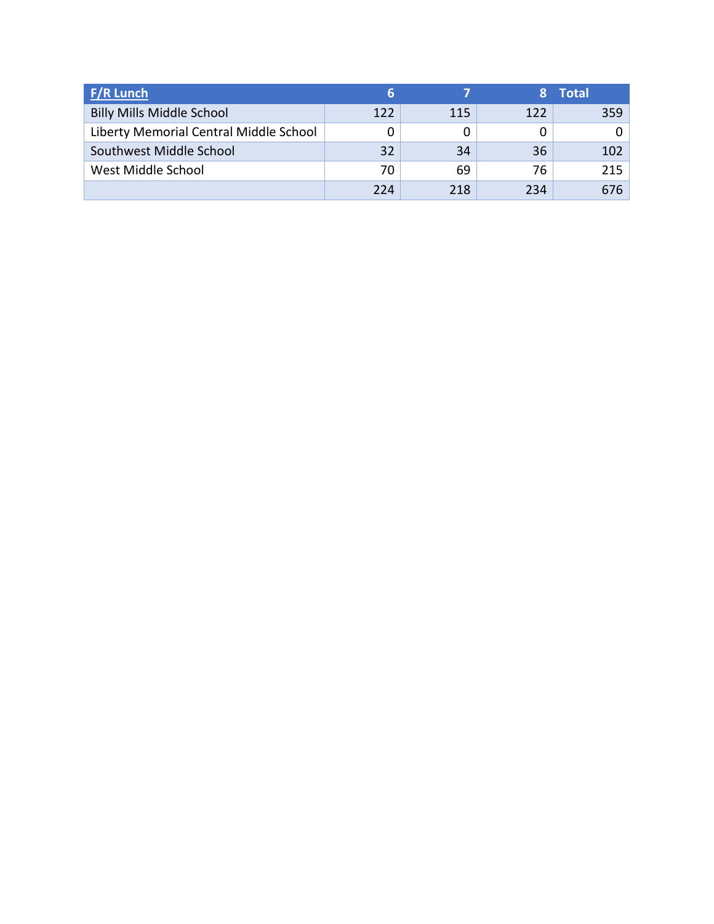| <b>F/R Lunch</b>                       |     |     |     | <b>Total</b> |
|----------------------------------------|-----|-----|-----|--------------|
| <b>Billy Mills Middle School</b>       | 122 | 115 | 122 | 359          |
| Liberty Memorial Central Middle School |     |     |     |              |
| Southwest Middle School                | 32  | 34  | 36  | 102          |
| West Middle School                     | 70  | 69  | 76  | 215          |
|                                        | 224 | 218 | 234 | 676          |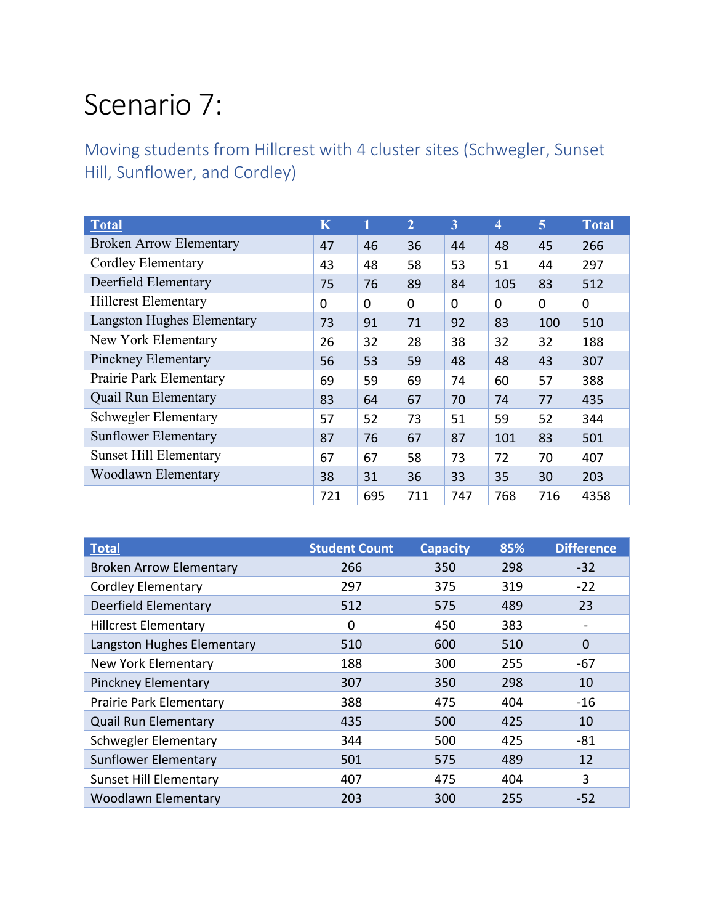### Scenario 7:

Moving students from Hillcrest with 4 cluster sites (Schwegler, Sunset Hill, Sunflower, and Cordley)

| <b>Total</b>                      | $\overline{\mathbf{K}}$ |          | $\overline{2}$ | 3        | 4        | 5        | <b>Total</b> |
|-----------------------------------|-------------------------|----------|----------------|----------|----------|----------|--------------|
| <b>Broken Arrow Elementary</b>    | 47                      | 46       | 36             | 44       | 48       | 45       | 266          |
| <b>Cordley Elementary</b>         | 43                      | 48       | 58             | 53       | 51       | 44       | 297          |
| Deerfield Elementary              | 75                      | 76       | 89             | 84       | 105      | 83       | 512          |
| <b>Hillcrest Elementary</b>       | $\Omega$                | $\Omega$ | $\Omega$       | $\Omega$ | $\Omega$ | $\Omega$ | 0            |
| <b>Langston Hughes Elementary</b> | 73                      | 91       | 71             | 92       | 83       | 100      | 510          |
| New York Elementary               | 26                      | 32       | 28             | 38       | 32       | 32       | 188          |
| Pinckney Elementary               | 56                      | 53       | 59             | 48       | 48       | 43       | 307          |
| Prairie Park Elementary           | 69                      | 59       | 69             | 74       | 60       | 57       | 388          |
| <b>Quail Run Elementary</b>       | 83                      | 64       | 67             | 70       | 74       | 77       | 435          |
| <b>Schwegler Elementary</b>       | 57                      | 52       | 73             | 51       | 59       | 52       | 344          |
| <b>Sunflower Elementary</b>       | 87                      | 76       | 67             | 87       | 101      | 83       | 501          |
| <b>Sunset Hill Elementary</b>     | 67                      | 67       | 58             | 73       | 72       | 70       | 407          |
| Woodlawn Elementary               | 38                      | 31       | 36             | 33       | 35       | 30       | 203          |
|                                   | 721                     | 695      | 711            | 747      | 768      | 716      | 4358         |

| <b>Total</b>                   | <b>Student Count</b> | <b>Capacity</b> | 85% | <b>Difference</b> |
|--------------------------------|----------------------|-----------------|-----|-------------------|
| <b>Broken Arrow Elementary</b> | 266                  | 350             | 298 | $-32$             |
| <b>Cordley Elementary</b>      | 297                  | 375             | 319 | $-22$             |
| Deerfield Elementary           | 512                  | 575             | 489 | 23                |
| <b>Hillcrest Elementary</b>    | 0                    | 450             | 383 |                   |
| Langston Hughes Elementary     | 510                  | 600             | 510 | $\mathbf 0$       |
| New York Elementary            | 188                  | 300             | 255 | $-67$             |
| <b>Pinckney Elementary</b>     | 307                  | 350             | 298 | 10                |
| Prairie Park Elementary        | 388                  | 475             | 404 | $-16$             |
| <b>Quail Run Elementary</b>    | 435                  | 500             | 425 | 10                |
| Schwegler Elementary           | 344                  | 500             | 425 | $-81$             |
| <b>Sunflower Elementary</b>    | 501                  | 575             | 489 | 12                |
| <b>Sunset Hill Elementary</b>  | 407                  | 475             | 404 | 3                 |
| <b>Woodlawn Elementary</b>     | 203                  | 300             | 255 | $-52$             |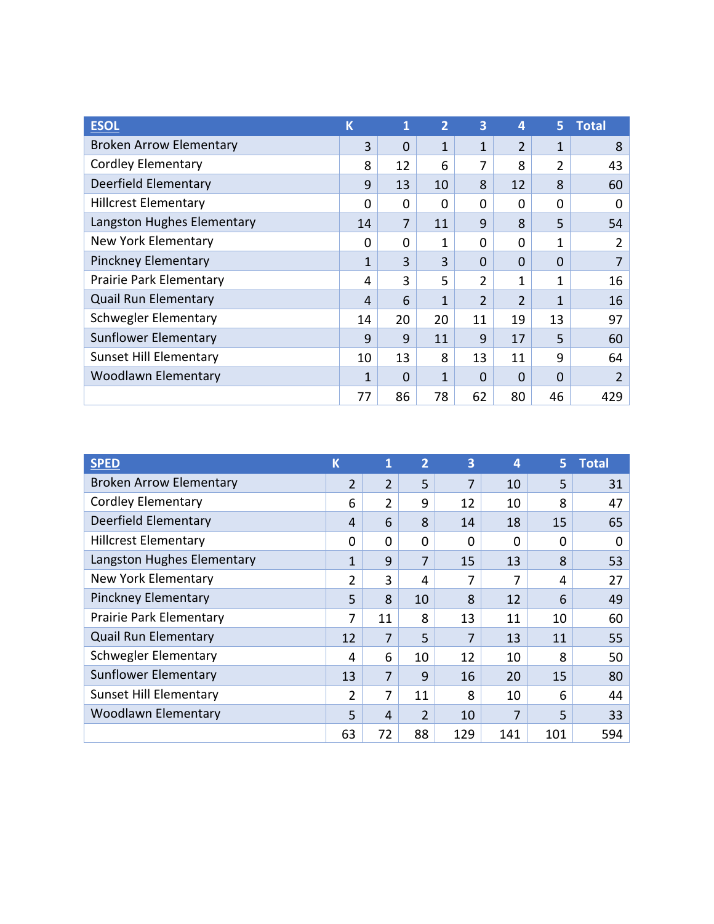| <b>ESOL</b>                    | $\overline{\mathsf{K}}$ | 1              | $\overline{2}$ | 3              | 4              | 5        | <b>Total</b>   |
|--------------------------------|-------------------------|----------------|----------------|----------------|----------------|----------|----------------|
| <b>Broken Arrow Elementary</b> | 3                       | 0              | 1              | 1              | $\overline{2}$ | 1        | 8              |
| <b>Cordley Elementary</b>      | 8                       | 12             | 6              | 7              | 8              | 2        | 43             |
| Deerfield Elementary           | 9                       | 13             | 10             | 8              | 12             | 8        | 60             |
| <b>Hillcrest Elementary</b>    | $\Omega$                | 0              | $\Omega$       | 0              | $\Omega$       | $\Omega$ | 0              |
| Langston Hughes Elementary     | 14                      | $\overline{7}$ | 11             | 9              | 8              | 5        | 54             |
| <b>New York Elementary</b>     | $\Omega$                | 0              | 1              | $\Omega$       | $\Omega$       | 1        | $\overline{2}$ |
| <b>Pinckney Elementary</b>     | 1                       | 3              | 3              | 0              | $\Omega$       | 0        |                |
| Prairie Park Elementary        | 4                       | 3              | 5              | 2              | 1              | 1        | 16             |
| <b>Quail Run Elementary</b>    | 4                       | 6              | 1              | $\overline{2}$ | $\overline{2}$ | 1        | 16             |
| <b>Schwegler Elementary</b>    | 14                      | 20             | 20             | 11             | 19             | 13       | 97             |
| Sunflower Elementary           | 9                       | 9              | 11             | 9              | 17             | 5        | 60             |
| <b>Sunset Hill Elementary</b>  | 10                      | 13             | 8              | 13             | 11             | 9        | 64             |
| <b>Woodlawn Elementary</b>     | 1                       | 0              | 1              | 0              | $\Omega$       | $\Omega$ | $\overline{2}$ |
|                                | 77                      | 86             | 78             | 62             | 80             | 46       | 429            |

| <b>SPED</b>                    | K              | 1              | $\overline{2}$ | 3        | 4   | 5   | <b>Total</b> |
|--------------------------------|----------------|----------------|----------------|----------|-----|-----|--------------|
| <b>Broken Arrow Elementary</b> | $\overline{2}$ | $\overline{2}$ | 5              | 7        | 10  | 5   | 31           |
| <b>Cordley Elementary</b>      | 6              | 2              | 9              | 12       | 10  | 8   | 47           |
| Deerfield Elementary           | 4              | 6              | 8              | 14       | 18  | 15  | 65           |
| <b>Hillcrest Elementary</b>    | 0              | 0              | 0              | $\Omega$ | 0   | 0   | 0            |
| Langston Hughes Elementary     | 1              | 9              | 7              | 15       | 13  | 8   | 53           |
| New York Elementary            | $\overline{2}$ | 3              | 4              | 7        | 7   | 4   | 27           |
| <b>Pinckney Elementary</b>     | 5              | 8              | 10             | 8        | 12  | 6   | 49           |
| Prairie Park Elementary        | 7              | 11             | 8              | 13       | 11  | 10  | 60           |
| <b>Quail Run Elementary</b>    | 12             | 7              | 5              | 7        | 13  | 11  | 55           |
| Schwegler Elementary           | 4              | 6              | 10             | 12       | 10  | 8   | 50           |
| Sunflower Elementary           | 13             | 7              | 9              | 16       | 20  | 15  | 80           |
| <b>Sunset Hill Elementary</b>  | $\overline{2}$ | 7              | 11             | 8        | 10  | 6   | 44           |
| <b>Woodlawn Elementary</b>     | 5              | 4              | 2              | 10       | 7   | 5   | 33           |
|                                | 63             | 72             | 88             | 129      | 141 | 101 | 594          |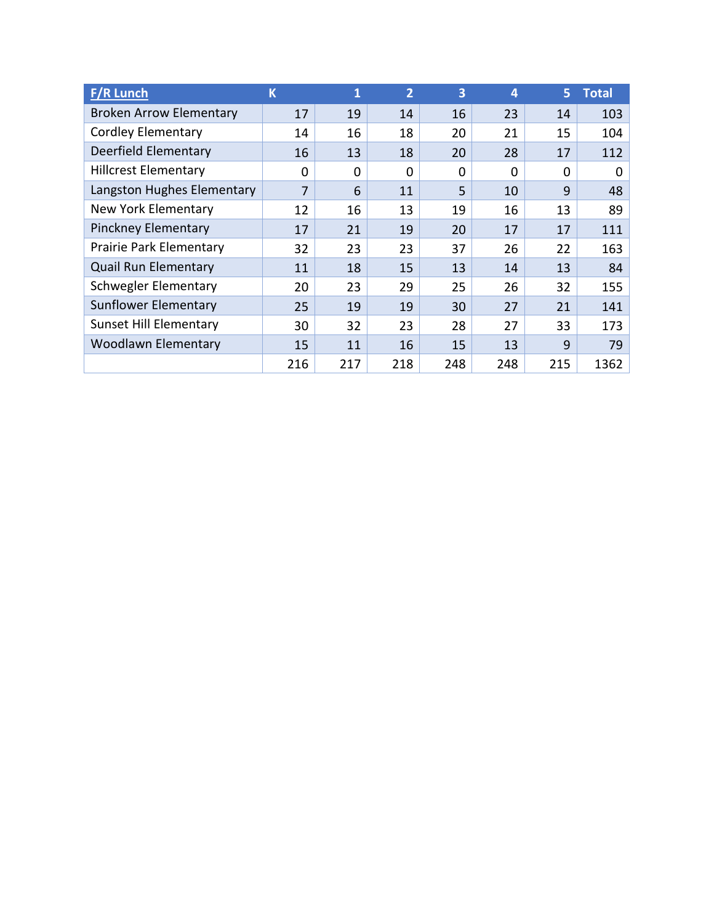| <b>F/R Lunch</b>               | K              | 1        | $\overline{2}$ | 3        | 4   | 5        | <b>Total</b> |
|--------------------------------|----------------|----------|----------------|----------|-----|----------|--------------|
| <b>Broken Arrow Elementary</b> | 17             | 19       | 14             | 16       | 23  | 14       | 103          |
| <b>Cordley Elementary</b>      | 14             | 16       | 18             | 20       | 21  | 15       | 104          |
| Deerfield Elementary           | 16             | 13       | 18             | 20       | 28  | 17       | 112          |
| <b>Hillcrest Elementary</b>    | 0              | $\Omega$ | $\Omega$       | $\Omega$ | 0   | $\Omega$ | 0            |
| Langston Hughes Elementary     | $\overline{7}$ | 6        | 11             | 5        | 10  | 9        | 48           |
| New York Elementary            | 12             | 16       | 13             | 19       | 16  | 13       | 89           |
| <b>Pinckney Elementary</b>     | 17             | 21       | 19             | 20       | 17  | 17       | 111          |
| Prairie Park Elementary        | 32             | 23       | 23             | 37       | 26  | 22       | 163          |
| <b>Quail Run Elementary</b>    | 11             | 18       | 15             | 13       | 14  | 13       | 84           |
| Schwegler Elementary           | 20             | 23       | 29             | 25       | 26  | 32       | 155          |
| Sunflower Elementary           | 25             | 19       | 19             | 30       | 27  | 21       | 141          |
| <b>Sunset Hill Elementary</b>  | 30             | 32       | 23             | 28       | 27  | 33       | 173          |
| <b>Woodlawn Elementary</b>     | 15             | 11       | 16             | 15       | 13  | 9        | 79           |
|                                | 216            | 217      | 218            | 248      | 248 | 215      | 1362         |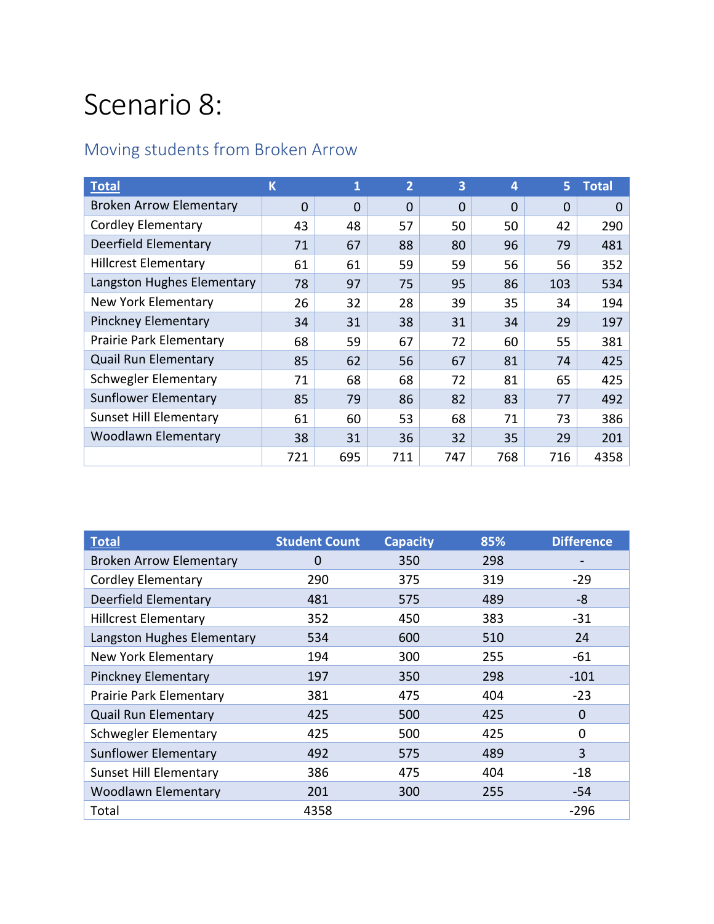### Scenario 8:

#### Moving students from Broken Arrow

| <b>Total</b>                   | K        | 1        | $\overline{2}$ | 3              | 4        | 5        | <b>Total</b> |
|--------------------------------|----------|----------|----------------|----------------|----------|----------|--------------|
| <b>Broken Arrow Elementary</b> | $\Omega$ | $\Omega$ | $\Omega$       | $\overline{0}$ | $\Omega$ | $\Omega$ | $\Omega$     |
| <b>Cordley Elementary</b>      | 43       | 48       | 57             | 50             | 50       | 42       | 290          |
| Deerfield Elementary           | 71       | 67       | 88             | 80             | 96       | 79       | 481          |
| <b>Hillcrest Elementary</b>    | 61       | 61       | 59             | 59             | 56       | 56       | 352          |
| Langston Hughes Elementary     | 78       | 97       | 75             | 95             | 86       | 103      | 534          |
| New York Elementary            | 26       | 32       | 28             | 39             | 35       | 34       | 194          |
| <b>Pinckney Elementary</b>     | 34       | 31       | 38             | 31             | 34       | 29       | 197          |
| Prairie Park Elementary        | 68       | 59       | 67             | 72             | 60       | 55       | 381          |
| <b>Quail Run Elementary</b>    | 85       | 62       | 56             | 67             | 81       | 74       | 425          |
| Schwegler Elementary           | 71       | 68       | 68             | 72             | 81       | 65       | 425          |
| Sunflower Elementary           | 85       | 79       | 86             | 82             | 83       | 77       | 492          |
| <b>Sunset Hill Elementary</b>  | 61       | 60       | 53             | 68             | 71       | 73       | 386          |
| <b>Woodlawn Elementary</b>     | 38       | 31       | 36             | 32             | 35       | 29       | 201          |
|                                | 721      | 695      | 711            | 747            | 768      | 716      | 4358         |

| <b>Total</b>                   | <b>Student Count</b> | <b>Capacity</b> | 85% | <b>Difference</b> |
|--------------------------------|----------------------|-----------------|-----|-------------------|
| <b>Broken Arrow Elementary</b> | 0                    | 350             | 298 |                   |
| <b>Cordley Elementary</b>      | 290                  | 375             | 319 | $-29$             |
| Deerfield Elementary           | 481                  | 575             | 489 | -8                |
| <b>Hillcrest Elementary</b>    | 352                  | 450             | 383 | $-31$             |
| Langston Hughes Elementary     | 534                  | 600             | 510 | 24                |
| New York Elementary            | 194                  | 300             | 255 | $-61$             |
| <b>Pinckney Elementary</b>     | 197                  | 350             | 298 | $-101$            |
| Prairie Park Elementary        | 381                  | 475             | 404 | $-23$             |
| <b>Quail Run Elementary</b>    | 425                  | 500             | 425 | 0                 |
| Schwegler Elementary           | 425                  | 500             | 425 | 0                 |
| <b>Sunflower Elementary</b>    | 492                  | 575             | 489 | 3                 |
| <b>Sunset Hill Elementary</b>  | 386                  | 475             | 404 | -18               |
| <b>Woodlawn Elementary</b>     | 201                  | 300             | 255 | -54               |
| Total                          | 4358                 |                 |     | $-296$            |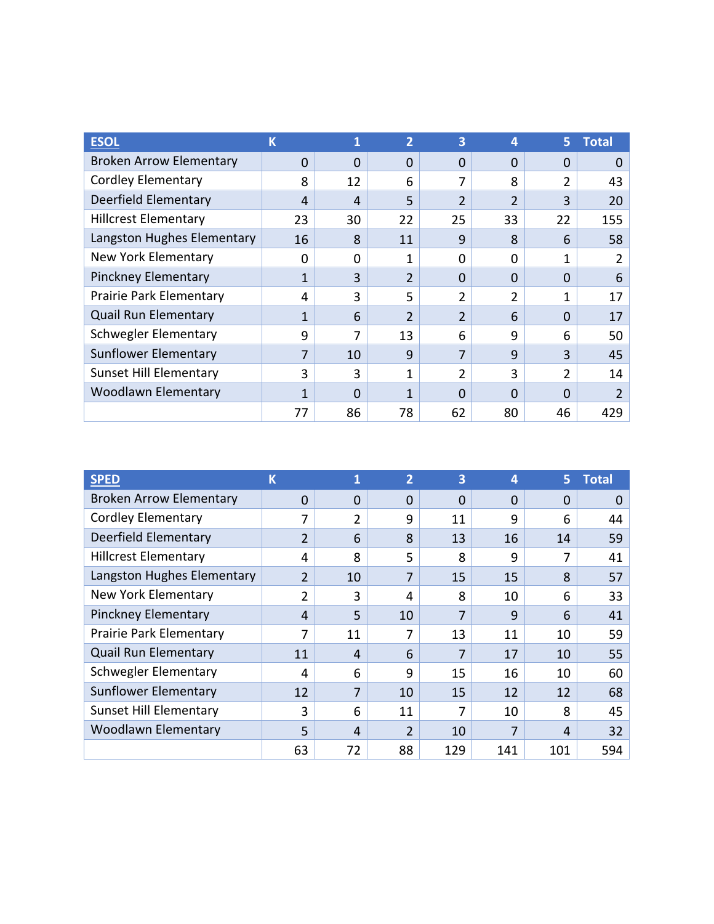| <b>ESOI</b>                    | K              |    | 2              | 3              | 4              | 5              | <b>Total</b>   |
|--------------------------------|----------------|----|----------------|----------------|----------------|----------------|----------------|
| <b>Broken Arrow Elementary</b> | $\Omega$       | 0  | $\Omega$       | 0              | $\Omega$       | $\Omega$       | $\Omega$       |
| <b>Cordley Elementary</b>      | 8              | 12 | 6              | 7              | 8              | $\overline{2}$ | 43             |
| Deerfield Elementary           | $\overline{4}$ | 4  | 5              | $\overline{2}$ | $\overline{2}$ | 3              | 20             |
| <b>Hillcrest Elementary</b>    | 23             | 30 | 22             | 25             | 33             | 22             | 155            |
| Langston Hughes Elementary     | 16             | 8  | 11             | 9              | 8              | 6              | 58             |
| New York Elementary            | 0              | 0  | 1              | O              | 0              | 1              | 2              |
| Pinckney Elementary            | 1              | 3  | $\overline{2}$ | 0              | $\Omega$       | $\Omega$       | 6              |
| Prairie Park Elementary        | 4              | 3  | 5              | $\overline{2}$ | 2              | 1              | 17             |
| <b>Quail Run Elementary</b>    | 1              | 6  | 2              | $\overline{2}$ | 6              | $\Omega$       | 17             |
| <b>Schwegler Elementary</b>    | 9              | 7  | 13             | 6              | 9              | 6              | 50             |
| Sunflower Elementary           | 7              | 10 | 9              | 7              | 9              | 3              | 45             |
| <b>Sunset Hill Elementary</b>  | 3              | 3  | 1              | 2              | 3              | 2              | 14             |
| <b>Woodlawn Elementary</b>     | 1              | 0  | 1              | 0              | $\Omega$       | $\Omega$       | $\overline{2}$ |
|                                | 77             | 86 | 78             | 62             | 80             | 46             | 429            |

| <b>SPED</b>                    | К              | 1  | $\overline{2}$ | 3        | 4        | 5.       | Total |
|--------------------------------|----------------|----|----------------|----------|----------|----------|-------|
| <b>Broken Arrow Elementary</b> | $\Omega$       | 0  | $\Omega$       | $\Omega$ | $\Omega$ | $\Omega$ | 0     |
| <b>Cordley Elementary</b>      | 7              | 2  | 9              | 11       | 9        | 6        | 44    |
| Deerfield Elementary           | $\overline{2}$ | 6  | 8              | 13       | 16       | 14       | 59    |
| <b>Hillcrest Elementary</b>    | 4              | 8  | 5              | 8        | 9        | 7        | 41    |
| Langston Hughes Elementary     | $\overline{2}$ | 10 | 7              | 15       | 15       | 8        | 57    |
| <b>New York Elementary</b>     | 2              | 3  | 4              | 8        | 10       | 6        | 33    |
| <b>Pinckney Elementary</b>     | 4              | 5  | 10             | 7        | 9        | 6        | 41    |
| Prairie Park Elementary        | 7              | 11 | 7              | 13       | 11       | 10       | 59    |
| <b>Quail Run Elementary</b>    | 11             | 4  | 6              | 7        | 17       | 10       | 55    |
| Schwegler Elementary           | 4              | 6  | 9              | 15       | 16       | 10       | 60    |
| <b>Sunflower Elementary</b>    | 12             | 7  | 10             | 15       | 12       | 12       | 68    |
| <b>Sunset Hill Elementary</b>  | 3              | 6  | 11             | 7        | 10       | 8        | 45    |
| <b>Woodlawn Elementary</b>     | 5              | 4  | 2              | 10       | 7        | 4        | 32    |
|                                | 63             | 72 | 88             | 129      | 141      | 101      | 594   |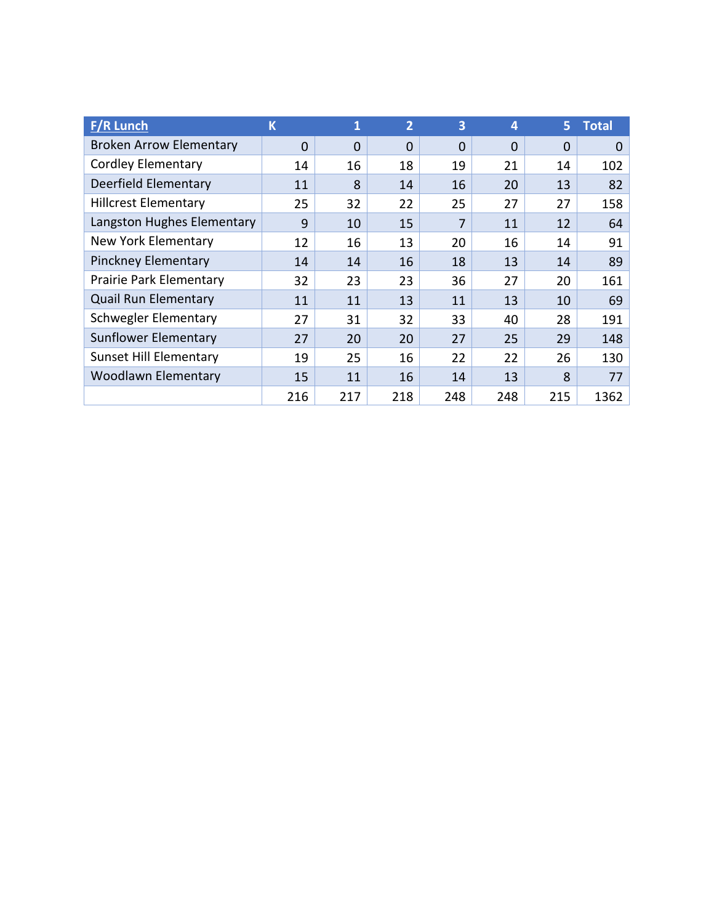| <b>F/R Lunch</b>               | K        | 1        | $\overline{2}$ | 3        | 4        | 5.          | <b>Total</b> |
|--------------------------------|----------|----------|----------------|----------|----------|-------------|--------------|
| <b>Broken Arrow Elementary</b> | $\Omega$ | $\Omega$ | $\Omega$       | $\Omega$ | $\Omega$ | $\mathbf 0$ | $\Omega$     |
| <b>Cordley Elementary</b>      | 14       | 16       | 18             | 19       | 21       | 14          | 102          |
| Deerfield Elementary           | 11       | 8        | 14             | 16       | 20       | 13          | 82           |
| <b>Hillcrest Elementary</b>    | 25       | 32       | 22             | 25       | 27       | 27          | 158          |
| Langston Hughes Elementary     | 9        | 10       | 15             | 7        | 11       | 12          | 64           |
| New York Elementary            | 12       | 16       | 13             | 20       | 16       | 14          | 91           |
| <b>Pinckney Elementary</b>     | 14       | 14       | 16             | 18       | 13       | 14          | 89           |
| <b>Prairie Park Elementary</b> | 32       | 23       | 23             | 36       | 27       | 20          | 161          |
| <b>Quail Run Elementary</b>    | 11       | 11       | 13             | 11       | 13       | 10          | 69           |
| Schwegler Elementary           | 27       | 31       | 32             | 33       | 40       | 28          | 191          |
| Sunflower Elementary           | 27       | 20       | 20             | 27       | 25       | 29          | 148          |
| <b>Sunset Hill Elementary</b>  | 19       | 25       | 16             | 22       | 22       | 26          | 130          |
| <b>Woodlawn Elementary</b>     | 15       | 11       | 16             | 14       | 13       | 8           | 77           |
|                                | 216      | 217      | 218            | 248      | 248      | 215         | 1362         |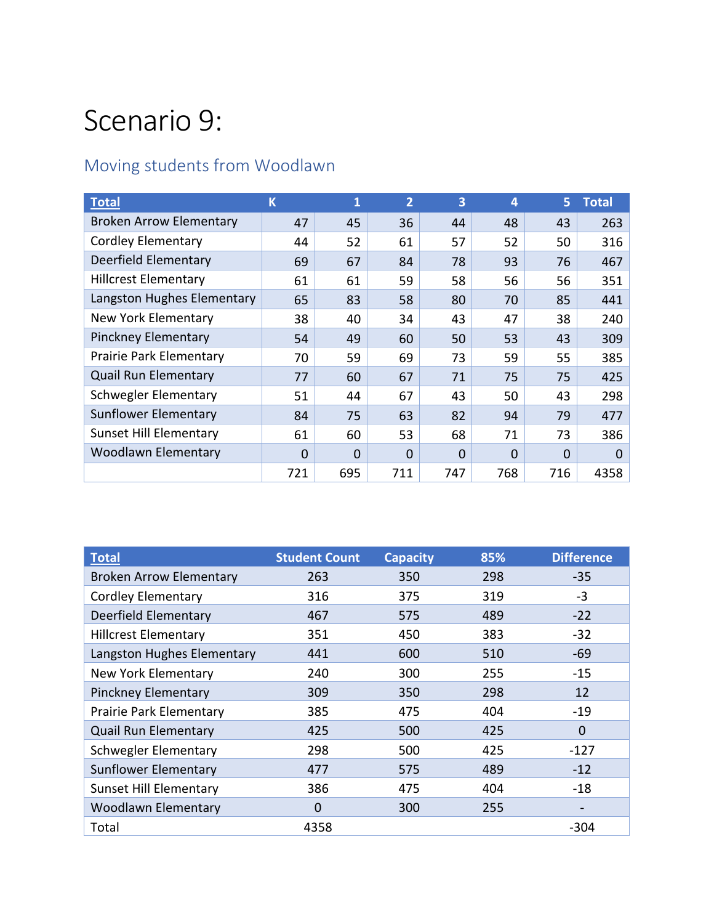## Scenario 9:

#### Moving students from Woodlawn

| Total                          | $\overline{\mathsf{K}}$ | 1        | $\overline{2}$ | 3   | 4        | 5           | <b>Total</b> |
|--------------------------------|-------------------------|----------|----------------|-----|----------|-------------|--------------|
| <b>Broken Arrow Elementary</b> | 47                      | 45       | 36             | 44  | 48       | 43          | 263          |
| <b>Cordley Elementary</b>      | 44                      | 52       | 61             | 57  | 52       | 50          | 316          |
| Deerfield Elementary           | 69                      | 67       | 84             | 78  | 93       | 76          | 467          |
| <b>Hillcrest Elementary</b>    | 61                      | 61       | 59             | 58  | 56       | 56          | 351          |
| Langston Hughes Elementary     | 65                      | 83       | 58             | 80  | 70       | 85          | 441          |
| New York Elementary            | 38                      | 40       | 34             | 43  | 47       | 38          | 240          |
| <b>Pinckney Elementary</b>     | 54                      | 49       | 60             | 50  | 53       | 43          | 309          |
| <b>Prairie Park Elementary</b> | 70                      | 59       | 69             | 73  | 59       | 55          | 385          |
| <b>Quail Run Elementary</b>    | 77                      | 60       | 67             | 71  | 75       | 75          | 425          |
| Schwegler Elementary           | 51                      | 44       | 67             | 43  | 50       | 43          | 298          |
| Sunflower Elementary           | 84                      | 75       | 63             | 82  | 94       | 79          | 477          |
| <b>Sunset Hill Elementary</b>  | 61                      | 60       | 53             | 68  | 71       | 73          | 386          |
| <b>Woodlawn Elementary</b>     | 0                       | $\Omega$ | $\mathbf 0$    | 0   | $\Omega$ | $\mathbf 0$ | $\Omega$     |
|                                | 721                     | 695      | 711            | 747 | 768      | 716         | 4358         |

| <b>Total</b>                   | <b>Student Count</b> | <b>Capacity</b> | 85% | <b>Difference</b>        |
|--------------------------------|----------------------|-----------------|-----|--------------------------|
| <b>Broken Arrow Elementary</b> | 263                  | 350             | 298 | $-35$                    |
| <b>Cordley Elementary</b>      | 316                  | 375             | 319 | $-3$                     |
| Deerfield Elementary           | 467                  | 575             | 489 | $-22$                    |
| <b>Hillcrest Elementary</b>    | 351                  | 450             | 383 | $-32$                    |
| Langston Hughes Elementary     | 441                  | 600             | 510 | $-69$                    |
| New York Elementary            | 240                  | 300             | 255 | $-15$                    |
| <b>Pinckney Elementary</b>     | 309                  | 350             | 298 | 12                       |
| Prairie Park Elementary        | 385                  | 475             | 404 | $-19$                    |
| <b>Quail Run Elementary</b>    | 425                  | 500             | 425 | $\mathbf 0$              |
| Schwegler Elementary           | 298                  | 500             | 425 | $-127$                   |
| Sunflower Elementary           | 477                  | 575             | 489 | $-12$                    |
| <b>Sunset Hill Elementary</b>  | 386                  | 475             | 404 | $-18$                    |
| <b>Woodlawn Elementary</b>     | 0                    | 300             | 255 | $\overline{\phantom{a}}$ |
| Total                          | 4358                 |                 |     | $-304$                   |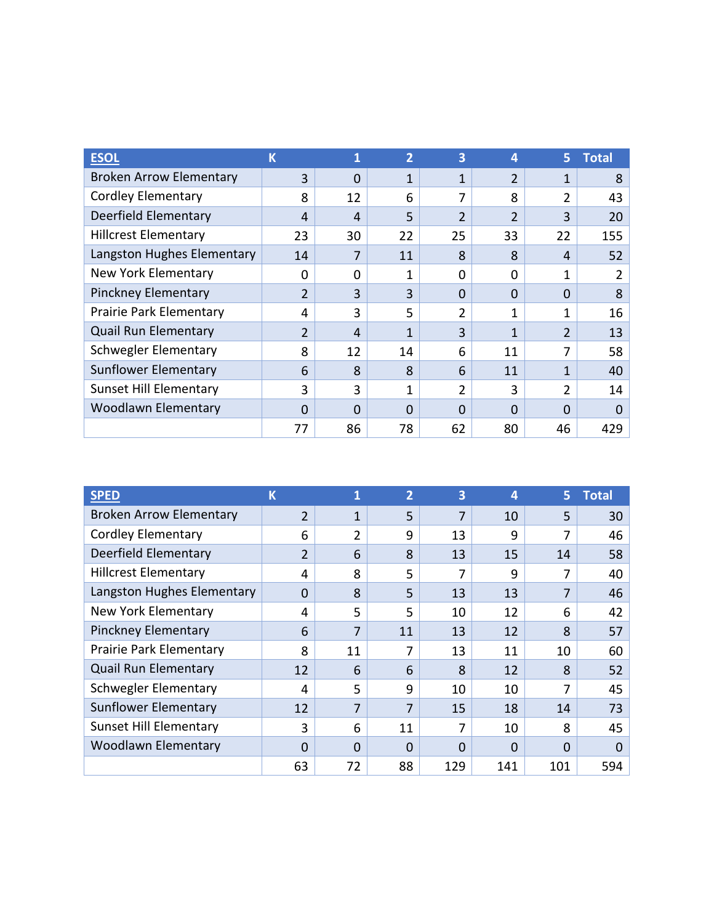| <b>ESOI</b>                    | К  | 1        | $\overline{2}$ | 3              | 4                     | 5.             | <b>Total</b> |
|--------------------------------|----|----------|----------------|----------------|-----------------------|----------------|--------------|
| <b>Broken Arrow Elementary</b> | 3  | $\Omega$ | $\mathbf{1}$   | 1              | $\mathfrak{D}$        | 1              | 8            |
| <b>Cordley Elementary</b>      | 8  | 12       | 6              | 7              | 8                     | $\overline{2}$ | 43           |
| Deerfield Elementary           | 4  | 4        | 5              | $\overline{2}$ | $\overline{2}$        | 3              | 20           |
| <b>Hillcrest Elementary</b>    | 23 | 30       | 22             | 25             | 33                    | 22             | 155          |
| Langston Hughes Elementary     | 14 |          | 11             | 8              | $\mathsf{\mathsf{R}}$ | 4              | 52           |
| New York Elementary            | 0  | O        | 1              | $\Omega$       | O                     | 1              | 2            |
| <b>Pinckney Elementary</b>     | 2  | 3        | 3              | $\Omega$       | $\Omega$              | $\Omega$       | 8            |
| Prairie Park Elementary        | 4  | 3        | 5              | 2              | $\mathbf{1}$          | 1              | 16           |
| <b>Quail Run Elementary</b>    | 2  | 4        | 1              | 3              | 1                     | 2              | 13           |
| Schwegler Elementary           | 8  | 12       | 14             | 6              | 11                    | 7              | 58           |
| <b>Sunflower Elementary</b>    | 6  | 8        | 8              | 6              | 11                    | 1              | 40           |
| <b>Sunset Hill Elementary</b>  | 3  | 3        | 1              | 2              | 3                     | 2              | 14           |
| <b>Woodlawn Elementary</b>     | 0  | O        | 0              | $\Omega$       | $\Omega$              | 0              | 0            |
|                                | 77 | 86       | 78             | 62             | 80                    | 46             | 429          |

| <b>SPED</b>                    | К              | 1  | $\overline{2}$ | 3   | 4        | 5.  | <b>Total</b> |
|--------------------------------|----------------|----|----------------|-----|----------|-----|--------------|
| <b>Broken Arrow Elementary</b> | 2              | 1  | 5              | 7   | 10       | 5   | 30           |
| <b>Cordley Elementary</b>      | 6              | 2  | 9              | 13  | 9        | 7   | 46           |
| Deerfield Elementary           | $\overline{2}$ | 6  | 8              | 13  | 15       | 14  | 58           |
| <b>Hillcrest Elementary</b>    | 4              | 8  | 5              | 7   | 9        | 7   | 40           |
| Langston Hughes Elementary     | $\Omega$       | 8  | 5              | 13  | 13       | 7   | 46           |
| <b>New York Elementary</b>     | 4              | 5  | 5              | 10  | 12       | 6   | 42           |
| <b>Pinckney Elementary</b>     | 6              | 7  | 11             | 13  | 12       | 8   | 57           |
| Prairie Park Elementary        | 8              | 11 | 7              | 13  | 11       | 10  | 60           |
| <b>Quail Run Elementary</b>    | 12             | 6  | 6              | 8   | 12       | 8   | 52           |
| <b>Schwegler Elementary</b>    | 4              | 5  | 9              | 10  | 10       | 7   | 45           |
| <b>Sunflower Elementary</b>    | 12             | 7  | 7              | 15  | 18       | 14  | 73           |
| <b>Sunset Hill Elementary</b>  | 3              | 6  | 11             | 7   | 10       | 8   | 45           |
| <b>Woodlawn Elementary</b>     | 0              | 0  | 0              | 0   | $\Omega$ | 0   | 0            |
|                                | 63             | 72 | 88             | 129 | 141      | 101 | 594          |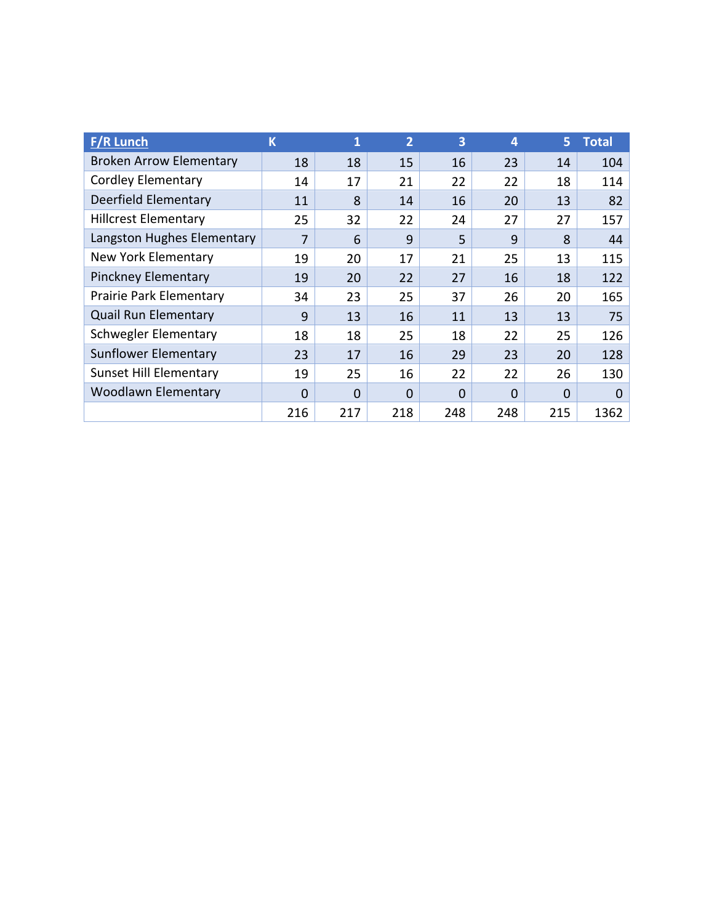| <b>F/R Lunch</b>               | K        | 1        | $\overline{2}$ | 3        | $\boldsymbol{4}$ | 5.       | <b>Total</b> |
|--------------------------------|----------|----------|----------------|----------|------------------|----------|--------------|
| <b>Broken Arrow Elementary</b> | 18       | 18       | 15             | 16       | 23               | 14       | 104          |
| <b>Cordley Elementary</b>      | 14       | 17       | 21             | 22       | 22               | 18       | 114          |
| Deerfield Elementary           | 11       | 8        | 14             | 16       | 20               | 13       | 82           |
| <b>Hillcrest Elementary</b>    | 25       | 32       | 22             | 24       | 27               | 27       | 157          |
| Langston Hughes Elementary     | 7        | 6        | 9              | 5.       | 9                | 8        | 44           |
| New York Elementary            | 19       | 20       | 17             | 21       | 25               | 13       | 115          |
| <b>Pinckney Elementary</b>     | 19       | 20       | 22             | 27       | 16               | 18       | 122          |
| Prairie Park Elementary        | 34       | 23       | 25             | 37       | 26               | 20       | 165          |
| <b>Quail Run Elementary</b>    | 9        | 13       | 16             | 11       | 13               | 13       | 75           |
| Schwegler Elementary           | 18       | 18       | 25             | 18       | 22               | 25       | 126          |
| <b>Sunflower Elementary</b>    | 23       | 17       | 16             | 29       | 23               | 20       | 128          |
| <b>Sunset Hill Elementary</b>  | 19       | 25       | 16             | 22       | 22               | 26       | 130          |
| <b>Woodlawn Elementary</b>     | $\Omega$ | $\Omega$ | $\mathbf 0$    | $\Omega$ | $\Omega$         | $\Omega$ | $\Omega$     |
|                                | 216      | 217      | 218            | 248      | 248              | 215      | 1362         |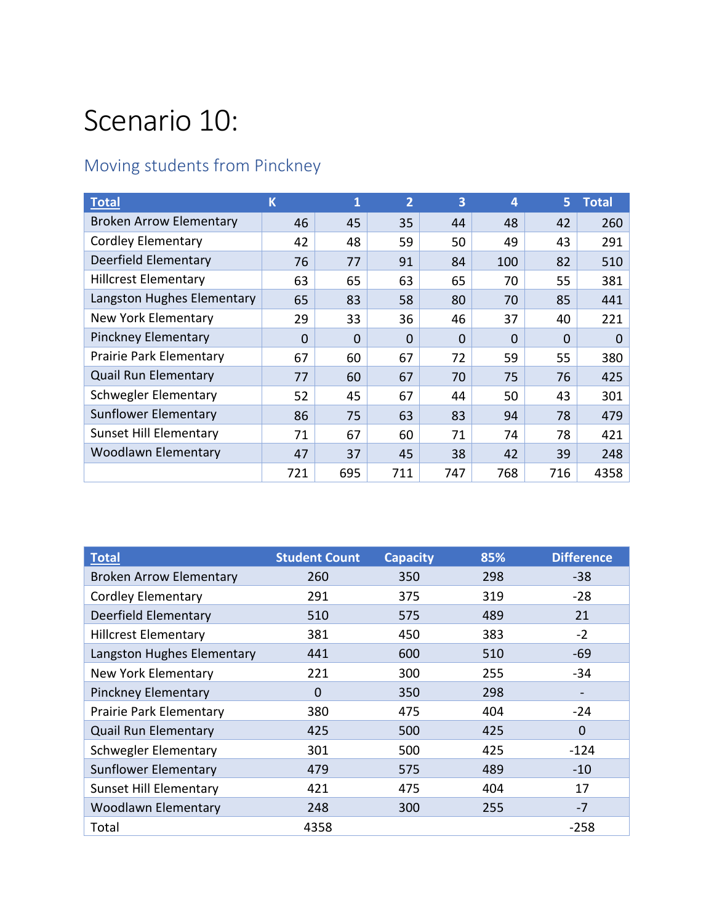## Scenario 10:

#### Moving students from Pinckney

| <b>Total</b>                   | K   | 1        | $\overline{2}$ | 3        | 4        | 5.  | <b>Total</b> |
|--------------------------------|-----|----------|----------------|----------|----------|-----|--------------|
| <b>Broken Arrow Elementary</b> | 46  | 45       | 35             | 44       | 48       | 42  | 260          |
| <b>Cordley Elementary</b>      | 42  | 48       | 59             | 50       | 49       | 43  | 291          |
| Deerfield Elementary           | 76  | 77       | 91             | 84       | 100      | 82  | 510          |
| <b>Hillcrest Elementary</b>    | 63  | 65       | 63             | 65       | 70       | 55  | 381          |
| Langston Hughes Elementary     | 65  | 83       | 58             | 80       | 70       | 85  | 441          |
| New York Elementary            | 29  | 33       | 36             | 46       | 37       | 40  | 221          |
| <b>Pinckney Elementary</b>     | 0   | $\Omega$ | 0              | $\Omega$ | $\Omega$ | 0   | $\Omega$     |
| <b>Prairie Park Elementary</b> | 67  | 60       | 67             | 72       | 59       | 55  | 380          |
| <b>Quail Run Elementary</b>    | 77  | 60       | 67             | 70       | 75       | 76  | 425          |
| Schwegler Elementary           | 52  | 45       | 67             | 44       | 50       | 43  | 301          |
| Sunflower Elementary           | 86  | 75       | 63             | 83       | 94       | 78  | 479          |
| <b>Sunset Hill Elementary</b>  | 71  | 67       | 60             | 71       | 74       | 78  | 421          |
| <b>Woodlawn Elementary</b>     | 47  | 37       | 45             | 38       | 42       | 39  | 248          |
|                                | 721 | 695      | 711            | 747      | 768      | 716 | 4358         |

| Total                          | <b>Student Count</b> | <b>Capacity</b> | 85% | <b>Difference</b>        |
|--------------------------------|----------------------|-----------------|-----|--------------------------|
| <b>Broken Arrow Elementary</b> | 260                  | 350             | 298 | $-38$                    |
| <b>Cordley Elementary</b>      | 291                  | 375             | 319 | $-28$                    |
| Deerfield Elementary           | 510                  | 575             | 489 | 21                       |
| <b>Hillcrest Elementary</b>    | 381                  | 450             | 383 | $-2$                     |
| Langston Hughes Elementary     | 441                  | 600             | 510 | $-69$                    |
| New York Elementary            | 221                  | 300             | 255 | $-34$                    |
| <b>Pinckney Elementary</b>     | 0                    | 350             | 298 | $\overline{\phantom{0}}$ |
| Prairie Park Elementary        | 380                  | 475             | 404 | $-24$                    |
| <b>Quail Run Elementary</b>    | 425                  | 500             | 425 | 0                        |
| Schwegler Elementary           | 301                  | 500             | 425 | $-124$                   |
| Sunflower Elementary           | 479                  | 575             | 489 | $-10$                    |
| <b>Sunset Hill Elementary</b>  | 421                  | 475             | 404 | 17                       |
| <b>Woodlawn Elementary</b>     | 248                  | 300             | 255 | $-7$                     |
| Total                          | 4358                 |                 |     | $-258$                   |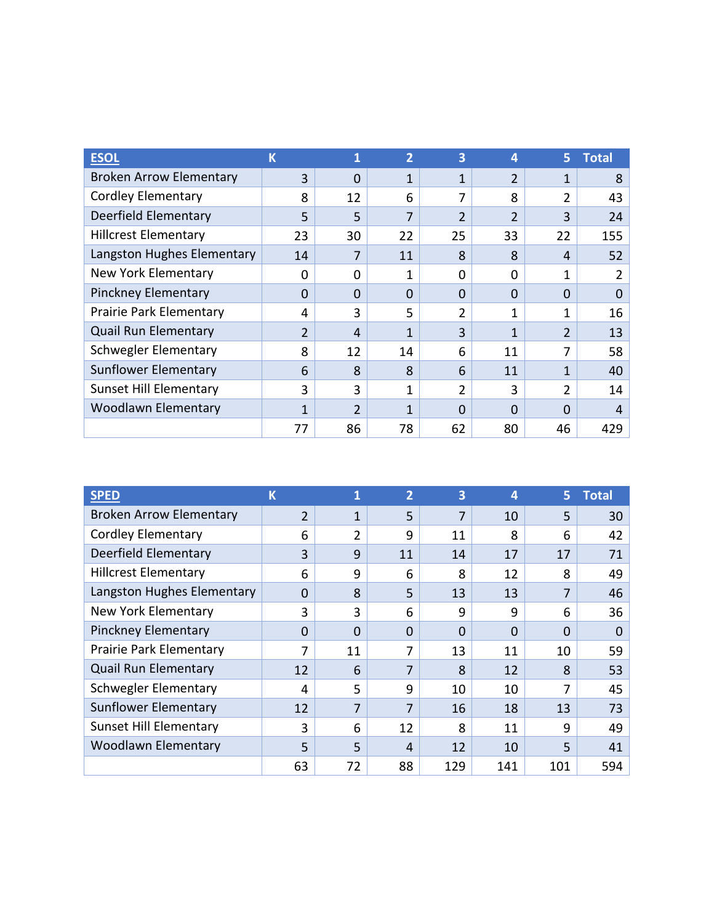| <b>ESOI</b>                    | К            | 1              | $\overline{2}$ | 3              | 4                     | 5.             | <b>Total</b> |
|--------------------------------|--------------|----------------|----------------|----------------|-----------------------|----------------|--------------|
| <b>Broken Arrow Elementary</b> | 3            | $\Omega$       | $\mathbf{1}$   | 1              | $\mathfrak{D}$        | 1              | 8            |
| <b>Cordley Elementary</b>      | 8            | 12             | 6              | 7              | 8                     | $\overline{2}$ | 43           |
| Deerfield Elementary           | 5            | 5              | 7              | $\overline{2}$ | $\overline{2}$        | 3              | 24           |
| <b>Hillcrest Elementary</b>    | 23           | 30             | 22             | 25             | 33                    | 22             | 155          |
| Langston Hughes Elementary     | 14           |                | 11             | 8              | $\mathsf{\mathsf{R}}$ | 4              | 52           |
| New York Elementary            | 0            | O              | 1              | 0              | O                     | 1              | 2            |
| <b>Pinckney Elementary</b>     | $\Omega$     | $\Omega$       | $\Omega$       | $\Omega$       | $\Omega$              | $\Omega$       | 0            |
| Prairie Park Elementary        | 4            | 3              | 5              | 2              | $\mathbf{1}$          | 1              | 16           |
| <b>Quail Run Elementary</b>    | 2            | 4              | 1              | 3              | 1                     | 2              | 13           |
| Schwegler Elementary           | 8            | 12             | 14             | 6              | 11                    | 7              | 58           |
| <b>Sunflower Elementary</b>    | 6            | 8              | 8              | 6              | 11                    | 1              | 40           |
| <b>Sunset Hill Elementary</b>  | 3            | 3              | 1              | 2              | 3                     | 2              | 14           |
| <b>Woodlawn Elementary</b>     | $\mathbf{1}$ | $\mathfrak{p}$ | 1              | $\Omega$       | $\Omega$              | 0              | 4            |
|                                | 77           | 86             | 78             | 62             | 80                    | 46             | 429          |

| <b>SPED</b>                    | ιK       | 1              | $\overline{2}$ | 3        | 4        | 5.       | <b>Total</b> |
|--------------------------------|----------|----------------|----------------|----------|----------|----------|--------------|
| <b>Broken Arrow Elementary</b> | 2        | 1              | 5              | 7        | 10       | 5        | 30           |
| <b>Cordley Elementary</b>      | 6        | $\mathfrak{p}$ | 9              | 11       | 8        | 6        | 42           |
| Deerfield Elementary           | 3        | 9              | 11             | 14       | 17       | 17       | 71           |
| <b>Hillcrest Elementary</b>    | 6        | 9              | 6              | 8        | 12       | 8        | 49           |
| Langston Hughes Elementary     | $\Omega$ | 8              | 5              | 13       | 13       | 7        | 46           |
| <b>New York Elementary</b>     | 3        | 3              | 6              | 9        | 9        | 6        | 36           |
| <b>Pinckney Elementary</b>     | $\Omega$ | $\Omega$       | $\Omega$       | $\Omega$ | $\Omega$ | $\Omega$ | 0            |
| Prairie Park Elementary        | 7        | 11             | 7              | 13       | 11       | 10       | 59           |
| <b>Quail Run Elementary</b>    | 12       | 6              | 7              | 8        | 12       | 8        | 53           |
| <b>Schwegler Elementary</b>    | 4        | 5              | 9              | 10       | 10       | 7        | 45           |
| <b>Sunflower Elementary</b>    | 12       | 7              | 7              | 16       | 18       | 13       | 73           |
| <b>Sunset Hill Elementary</b>  | 3        | 6              | 12             | 8        | 11       | 9        | 49           |
| <b>Woodlawn Elementary</b>     | 5        | 5              | 4              | 12       | 10       | 5        | 41           |
|                                | 63       | 72             | 88             | 129      | 141      | 101      | 594          |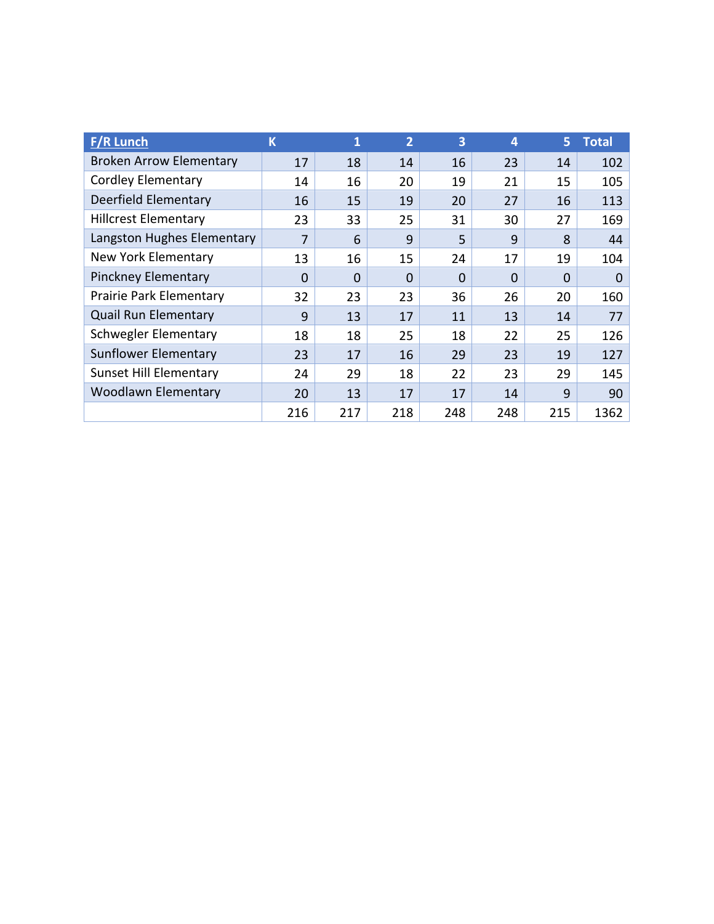| <b>F/R Lunch</b>               | K        | 1        | $\overline{2}$ | 3        | $\boldsymbol{4}$ | 5.       | <b>Total</b> |
|--------------------------------|----------|----------|----------------|----------|------------------|----------|--------------|
| <b>Broken Arrow Elementary</b> | 17       | 18       | 14             | 16       | 23               | 14       | 102          |
| <b>Cordley Elementary</b>      | 14       | 16       | 20             | 19       | 21               | 15       | 105          |
| Deerfield Elementary           | 16       | 15       | 19             | 20       | 27               | 16       | 113          |
| <b>Hillcrest Elementary</b>    | 23       | 33       | 25             | 31       | 30               | 27       | 169          |
| Langston Hughes Elementary     | 7        | 6        | 9              | 5.       | 9                | 8        | 44           |
| New York Elementary            | 13       | 16       | 15             | 24       | 17               | 19       | 104          |
| <b>Pinckney Elementary</b>     | $\Omega$ | $\Omega$ | $\Omega$       | $\Omega$ | $\Omega$         | $\Omega$ | $\Omega$     |
| Prairie Park Elementary        | 32       | 23       | 23             | 36       | 26               | 20       | 160          |
| <b>Quail Run Elementary</b>    | 9        | 13       | 17             | 11       | 13               | 14       | 77           |
| Schwegler Elementary           | 18       | 18       | 25             | 18       | 22               | 25       | 126          |
| <b>Sunflower Elementary</b>    | 23       | 17       | 16             | 29       | 23               | 19       | 127          |
| <b>Sunset Hill Elementary</b>  | 24       | 29       | 18             | 22       | 23               | 29       | 145          |
| <b>Woodlawn Elementary</b>     | 20       | 13       | 17             | 17       | 14               | 9        | 90           |
|                                | 216      | 217      | 218            | 248      | 248              | 215      | 1362         |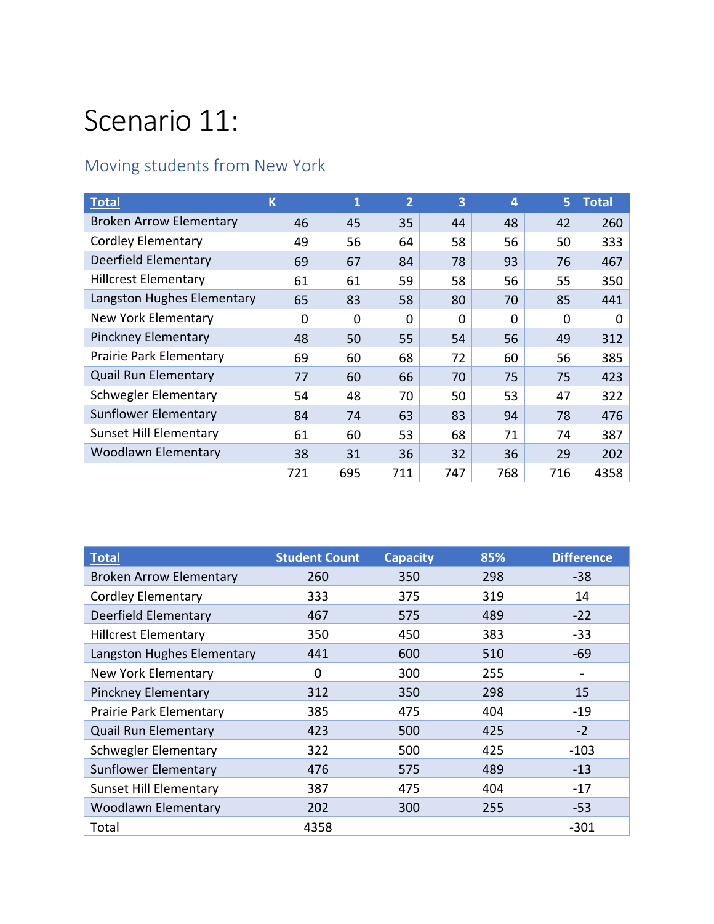## Scenario 11:

#### Moving students from New York

| <b>Total</b>                   | K   | 1   | $\overline{2}$ | 3        | 4        | 5.  | <b>Total</b> |
|--------------------------------|-----|-----|----------------|----------|----------|-----|--------------|
| <b>Broken Arrow Elementary</b> | 46  | 45  | 35             | 44       | 48       | 42  | 260          |
| <b>Cordley Elementary</b>      | 49  | 56  | 64             | 58       | 56       | 50  | 333          |
| Deerfield Elementary           | 69  | 67  | 84             | 78       | 93       | 76  | 467          |
| <b>Hillcrest Elementary</b>    | 61  | 61  | 59             | 58       | 56       | 55  | 350          |
| Langston Hughes Elementary     | 65  | 83  | 58             | 80       | 70       | 85  | 441          |
| New York Elementary            | 0   | 0   | 0              | $\Omega$ | $\Omega$ | 0   | 0            |
| <b>Pinckney Elementary</b>     | 48  | 50  | 55             | 54       | 56       | 49  | 312          |
| <b>Prairie Park Elementary</b> | 69  | 60  | 68             | 72       | 60       | 56  | 385          |
| <b>Quail Run Elementary</b>    | 77  | 60  | 66             | 70       | 75       | 75  | 423          |
| Schwegler Elementary           | 54  | 48  | 70             | 50       | 53       | 47  | 322          |
| Sunflower Elementary           | 84  | 74  | 63             | 83       | 94       | 78  | 476          |
| <b>Sunset Hill Elementary</b>  | 61  | 60  | 53             | 68       | 71       | 74  | 387          |
| <b>Woodlawn Elementary</b>     | 38  | 31  | 36             | 32       | 36       | 29  | 202          |
|                                | 721 | 695 | 711            | 747      | 768      | 716 | 4358         |

| <b>Total</b>                   | <b>Student Count</b> | <b>Capacity</b> | 85% | <b>Difference</b> |
|--------------------------------|----------------------|-----------------|-----|-------------------|
| <b>Broken Arrow Elementary</b> | 260                  | 350             | 298 | $-38$             |
| <b>Cordley Elementary</b>      | 333                  | 375             | 319 | 14                |
| Deerfield Elementary           | 467                  | 575             | 489 | $-22$             |
| <b>Hillcrest Elementary</b>    | 350                  | 450             | 383 | $-33$             |
| Langston Hughes Elementary     | 441                  | 600             | 510 | $-69$             |
| New York Elementary            | 0                    | 300             | 255 |                   |
| <b>Pinckney Elementary</b>     | 312                  | 350             | 298 | 15                |
| <b>Prairie Park Elementary</b> | 385                  | 475             | 404 | $-19$             |
| <b>Quail Run Elementary</b>    | 423                  | 500             | 425 | $-2$              |
| Schwegler Elementary           | 322                  | 500             | 425 | $-103$            |
| Sunflower Elementary           | 476                  | 575             | 489 | $-13$             |
| <b>Sunset Hill Elementary</b>  | 387                  | 475             | 404 | $-17$             |
| <b>Woodlawn Elementary</b>     | 202                  | 300             | 255 | $-53$             |
| Total                          | 4358                 |                 |     | $-301$            |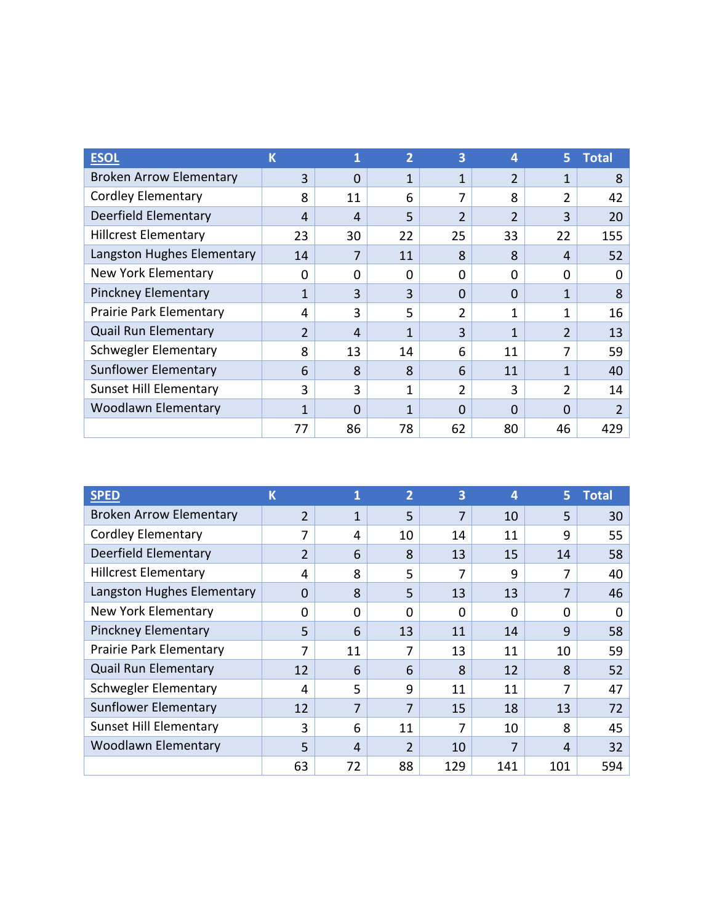| <b>ESOI</b>                    | K              |    | $\overline{2}$ | 3              | 4                     | 5.             | <b>Total</b>   |
|--------------------------------|----------------|----|----------------|----------------|-----------------------|----------------|----------------|
| <b>Broken Arrow Elementary</b> | 3              | O  | 1              | 1              | $\overline{2}$        | 1              | 8              |
| <b>Cordley Elementary</b>      | 8              | 11 | 6              | 7              | $\mathsf{\mathsf{R}}$ | 2              | 42             |
| Deerfield Elementary           | 4              | 4  | 5              | $\overline{2}$ | $\overline{2}$        | 3              | 20             |
| <b>Hillcrest Elementary</b>    | 23             | 30 | 22             | 25             | 33                    | 22             | 155            |
| Langston Hughes Elementary     | 14             |    | 11             | 8              | 8                     | 4              | 52             |
| New York Elementary            | 0              | O  | $\Omega$       | 0              | O                     | $\Omega$       | 0              |
| <b>Pinckney Elementary</b>     | 1              | 3  | 3              | $\Omega$       | $\Omega$              | 1              | 8              |
| Prairie Park Elementary        | 4              | 3  | 5              | 2              | $\mathbf{1}$          | 1              | 16             |
| <b>Quail Run Elementary</b>    | $\overline{2}$ | 4  | 1              | 3              | 1                     | $\overline{2}$ | 13             |
| <b>Schwegler Elementary</b>    | 8              | 13 | 14             | 6              | 11                    | 7              | 59             |
| <b>Sunflower Elementary</b>    | 6              | 8  | 8              | 6              | 11                    | 1              | 40             |
| <b>Sunset Hill Elementary</b>  | 3              | 3  | 1              | 2              | 3                     | 2              | 14             |
| <b>Woodlawn Elementary</b>     | $\mathbf{1}$   | O  | 1              | $\Omega$       | $\Omega$              | 0              | $\overline{2}$ |
|                                | 77             | 86 | 78             | 62             | 80                    | 46             | 429            |

| <b>SPED</b>                    | K              |          | $\overline{2}$ | 3   | 4        | 5.       | <b>Total</b> |
|--------------------------------|----------------|----------|----------------|-----|----------|----------|--------------|
| <b>Broken Arrow Elementary</b> | $\overline{2}$ | 1        | 5              | 7   | 10       | 5        | 30           |
| <b>Cordley Elementary</b>      | 7              | 4        | 10             | 14  | 11       | 9        | 55           |
| Deerfield Elementary           | $\overline{2}$ | 6        | 8              | 13  | 15       | 14       | 58           |
| <b>Hillcrest Elementary</b>    | 4              | 8        | 5              | 7   | 9        | 7        | 40           |
| Langston Hughes Elementary     | $\Omega$       | 8        | 5              | 13  | 13       | 7        | 46           |
| New York Elementary            | 0              | $\Omega$ | $\Omega$       | 0   | $\Omega$ | $\Omega$ | 0            |
| <b>Pinckney Elementary</b>     | 5              | 6        | 13             | 11  | 14       | 9        | 58           |
| Prairie Park Elementary        | 7              | 11       | 7              | 13  | 11       | 10       | 59           |
| <b>Quail Run Elementary</b>    | 12             | 6        | 6              | 8   | 12       | 8        | 52           |
| Schwegler Elementary           | 4              | 5        | 9              | 11  | 11       | 7        | 47           |
| <b>Sunflower Elementary</b>    | 12             | 7        | 7              | 15  | 18       | 13       | 72           |
| <b>Sunset Hill Elementary</b>  | 3              | 6        | 11             | 7   | 10       | 8        | 45           |
| <b>Woodlawn Elementary</b>     | 5              | 4        | $\overline{2}$ | 10  |          | 4        | 32           |
|                                | 63             | 72       | 88             | 129 | 141      | 101      | 594          |